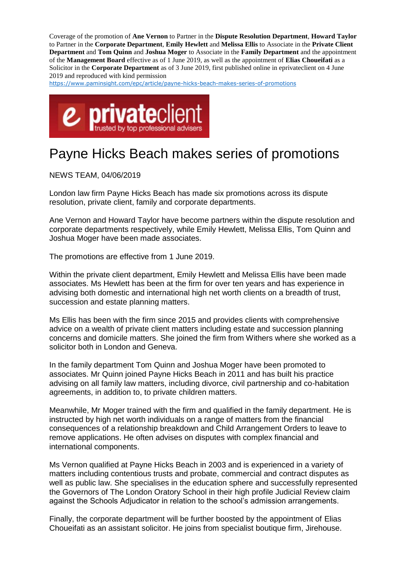Coverage of the promotion of **Ane Vernon** to Partner in the **Dispute Resolution Department**, **Howard Taylor**  to Partner in the **Corporate Department**, **Emily Hewlett** and **Melissa Ellis** to Associate in the **Private Client Department** and **Tom Quinn** and **Joshua Moger** to Associate in the **Family Department** and the appointment of the **Management Board** effective as of 1 June 2019, as well as the appointment of **Elias Choueifati** as a Solicitor in the **Corporate Department** as of 3 June 2019, first published online in eprivateclient on 4 June 2019 and reproduced with kind permission

[https://www.paminsight.com/epc/article/payne-hicks-beach-makes-series-of-promotions](https://protect-eu.mimecast.com/s/RqYfCAn60hg0XJTG3GxJ?domain=paminsight.com)



## Payne Hicks Beach makes series of promotions

NEWS TEAM, 04/06/2019

London law firm Payne Hicks Beach has made six promotions across its dispute resolution, private client, family and corporate departments.

Ane Vernon and Howard Taylor have become partners within the dispute resolution and corporate departments respectively, while Emily Hewlett, Melissa Ellis, Tom Quinn and Joshua Moger have been made associates.

The promotions are effective from 1 June 2019.

Within the private client department, Emily Hewlett and Melissa Ellis have been made associates. Ms Hewlett has been at the firm for over ten years and has experience in advising both domestic and international high net worth clients on a breadth of trust, succession and estate planning matters.

Ms Ellis has been with the firm since 2015 and provides clients with comprehensive advice on a wealth of private client matters including estate and succession planning concerns and domicile matters. She joined the firm from Withers where she worked as a solicitor both in London and Geneva.

In the family department Tom Quinn and Joshua Moger have been promoted to associates. Mr Quinn joined Payne Hicks Beach in 2011 and has built his practice advising on all family law matters, including divorce, civil partnership and co-habitation agreements, in addition to, to private children matters.

Meanwhile, Mr Moger trained with the firm and qualified in the family department. He is instructed by high net worth individuals on a range of matters from the financial consequences of a relationship breakdown and Child Arrangement Orders to leave to remove applications. He often advises on disputes with complex financial and international components.

Ms Vernon qualified at Payne Hicks Beach in 2003 and is experienced in a variety of matters including contentious trusts and probate, commercial and contract disputes as well as public law. She specialises in the education sphere and successfully represented the Governors of The London Oratory School in their high profile Judicial Review claim against the Schools Adjudicator in relation to the school's admission arrangements.

Finally, the corporate department will be further boosted by the appointment of Elias Choueifati as an assistant solicitor. He joins from specialist boutique firm, Jirehouse.